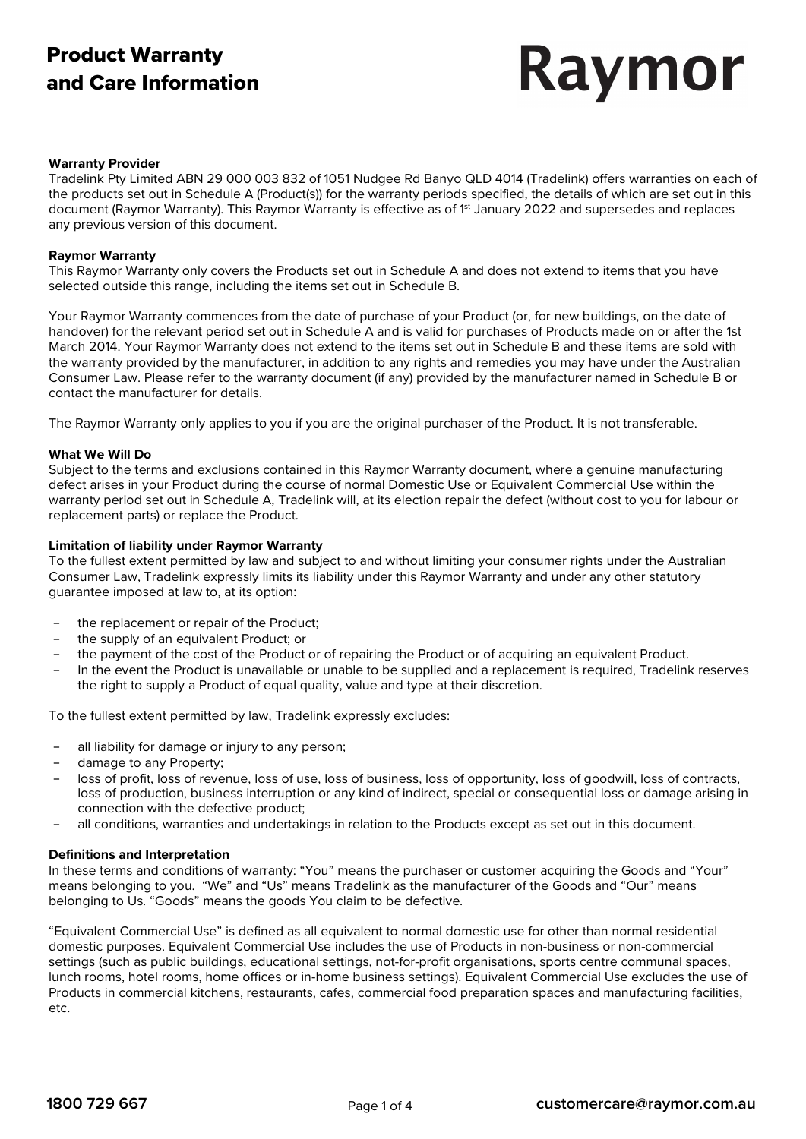# Product Warranty and Care Information

# Raymor

#### **Warranty Provider**

Tradelink Pty Limited ABN 29 000 003 832 of 1051 Nudgee Rd Banyo QLD 4014 (Tradelink) offers warranties on each of the products set out in Schedule A (Product(s)) for the warranty periods specified, the details of which are set out in this document (Raymor Warranty). This Raymor Warranty is effective as of 1<sup>st</sup> January 2022 and supersedes and replaces any previous version of this document.

#### **Raymor Warranty**

This Raymor Warranty only covers the Products set out in Schedule A and does not extend to items that you have selected outside this range, including the items set out in Schedule B.

Your Raymor Warranty commences from the date of purchase of your Product (or, for new buildings, on the date of handover) for the relevant period set out in Schedule A and is valid for purchases of Products made on or after the 1st March 2014. Your Raymor Warranty does not extend to the items set out in Schedule B and these items are sold with the warranty provided by the manufacturer, in addition to any rights and remedies you may have under the Australian Consumer Law. Please refer to the warranty document (if any) provided by the manufacturer named in Schedule B or contact the manufacturer for details.

The Raymor Warranty only applies to you if you are the original purchaser of the Product. It is not transferable.

#### **What We Will Do**

Subject to the terms and exclusions contained in this Raymor Warranty document, where a genuine manufacturing defect arises in your Product during the course of normal Domestic Use or Equivalent Commercial Use within the warranty period set out in Schedule A, Tradelink will, at its election repair the defect (without cost to you for labour or replacement parts) or replace the Product.

#### **Limitation of liability under Raymor Warranty**

To the fullest extent permitted by law and subject to and without limiting your consumer rights under the Australian Consumer Law, Tradelink expressly limits its liability under this Raymor Warranty and under any other statutory guarantee imposed at law to, at its option:

- the replacement or repair of the Product;
- the supply of an equivalent Product; or
- − the payment of the cost of the Product or of repairing the Product or of acquiring an equivalent Product.
- − In the event the Product is unavailable or unable to be supplied and a replacement is required, Tradelink reserves the right to supply a Product of equal quality, value and type at their discretion.

To the fullest extent permitted by law, Tradelink expressly excludes:

- all liability for damage or injury to any person;
- damage to any Property;
- loss of profit, loss of revenue, loss of use, loss of business, loss of opportunity, loss of goodwill, loss of contracts, loss of production, business interruption or any kind of indirect, special or consequential loss or damage arising in connection with the defective product;
- − all conditions, warranties and undertakings in relation to the Products except as set out in this document.

#### **Definitions and Interpretation**

In these terms and conditions of warranty: "You" means the purchaser or customer acquiring the Goods and "Your" means belonging to you. "We" and "Us" means Tradelink as the manufacturer of the Goods and "Our" means belonging to Us. "Goods" means the goods You claim to be defective.

"Equivalent Commercial Use" is defined as all equivalent to normal domestic use for other than normal residential domestic purposes. Equivalent Commercial Use includes the use of Products in non-business or non-commercial settings (such as public buildings, educational settings, not-for-profit organisations, sports centre communal spaces, lunch rooms, hotel rooms, home offices or in-home business settings). Equivalent Commercial Use excludes the use of Products in commercial kitchens, restaurants, cafes, commercial food preparation spaces and manufacturing facilities, etc.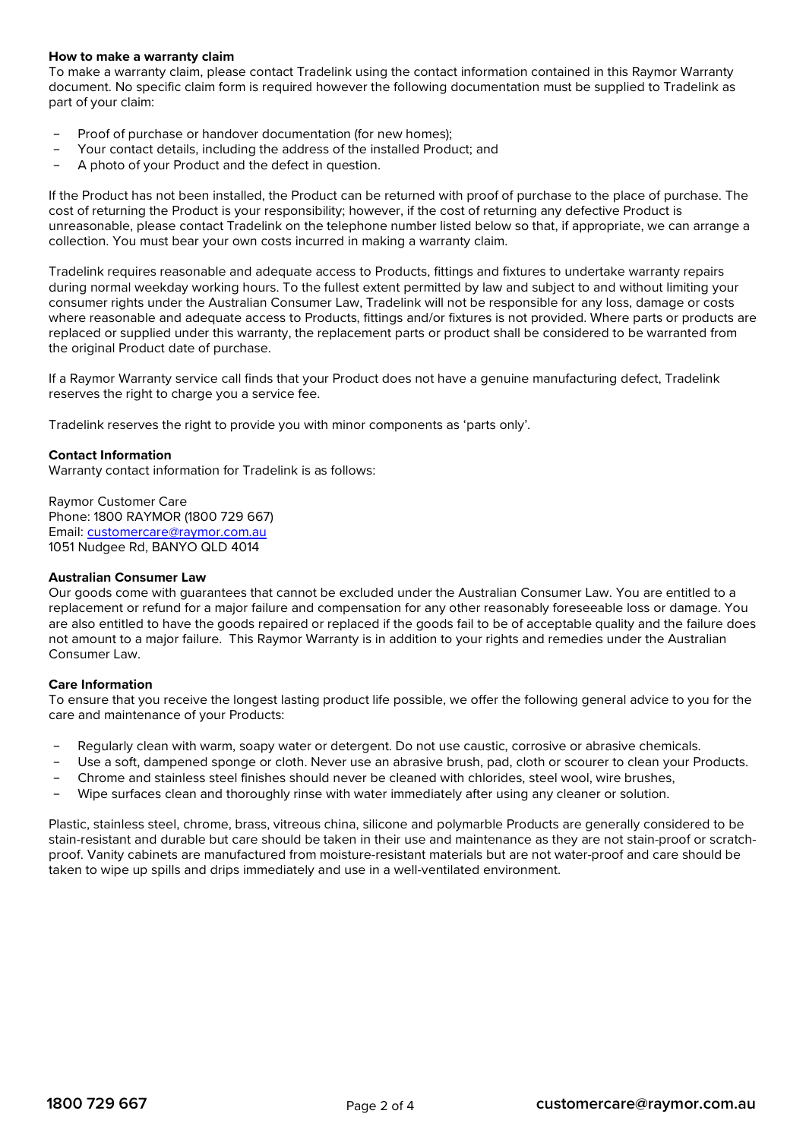#### **How to make a warranty claim**

To make a warranty claim, please contact Tradelink using the contact information contained in this Raymor Warranty document. No specific claim form is required however the following documentation must be supplied to Tradelink as part of your claim:

- Proof of purchase or handover documentation (for new homes);
- Your contact details, including the address of the installed Product; and
- A photo of your Product and the defect in question.

If the Product has not been installed, the Product can be returned with proof of purchase to the place of purchase. The cost of returning the Product is your responsibility; however, if the cost of returning any defective Product is unreasonable, please contact Tradelink on the telephone number listed below so that, if appropriate, we can arrange a collection. You must bear your own costs incurred in making a warranty claim.

Tradelink requires reasonable and adequate access to Products, fittings and fixtures to undertake warranty repairs during normal weekday working hours. To the fullest extent permitted by law and subject to and without limiting your consumer rights under the Australian Consumer Law, Tradelink will not be responsible for any loss, damage or costs where reasonable and adequate access to Products, fittings and/or fixtures is not provided. Where parts or products are replaced or supplied under this warranty, the replacement parts or product shall be considered to be warranted from the original Product date of purchase.

If a Raymor Warranty service call finds that your Product does not have a genuine manufacturing defect, Tradelink reserves the right to charge you a service fee.

Tradelink reserves the right to provide you with minor components as 'parts only'.

### **Contact Information**

Warranty contact information for Tradelink is as follows:

Raymor Customer Care Phone: 1800 RAYMOR (1800 729 667) Email: [customercare@raymor.com.au](mailto:customercare@raymor.com.au) 1051 Nudgee Rd, BANYO QLD 4014

#### **Australian Consumer Law**

Our goods come with guarantees that cannot be excluded under the Australian Consumer Law. You are entitled to a replacement or refund for a major failure and compensation for any other reasonably foreseeable loss or damage. You are also entitled to have the goods repaired or replaced if the goods fail to be of acceptable quality and the failure does not amount to a major failure. This Raymor Warranty is in addition to your rights and remedies under the Australian Consumer Law.

#### **Care Information**

To ensure that you receive the longest lasting product life possible, we offer the following general advice to you for the care and maintenance of your Products:

- Regularly clean with warm, soapy water or detergent. Do not use caustic, corrosive or abrasive chemicals.
- Use a soft, dampened sponge or cloth. Never use an abrasive brush, pad, cloth or scourer to clean your Products.
- − Chrome and stainless steel finishes should never be cleaned with chlorides, steel wool, wire brushes,
- − Wipe surfaces clean and thoroughly rinse with water immediately after using any cleaner or solution.

Plastic, stainless steel, chrome, brass, vitreous china, silicone and polymarble Products are generally considered to be stain-resistant and durable but care should be taken in their use and maintenance as they are not stain-proof or scratchproof. Vanity cabinets are manufactured from moisture-resistant materials but are not water-proof and care should be taken to wipe up spills and drips immediately and use in a well-ventilated environment.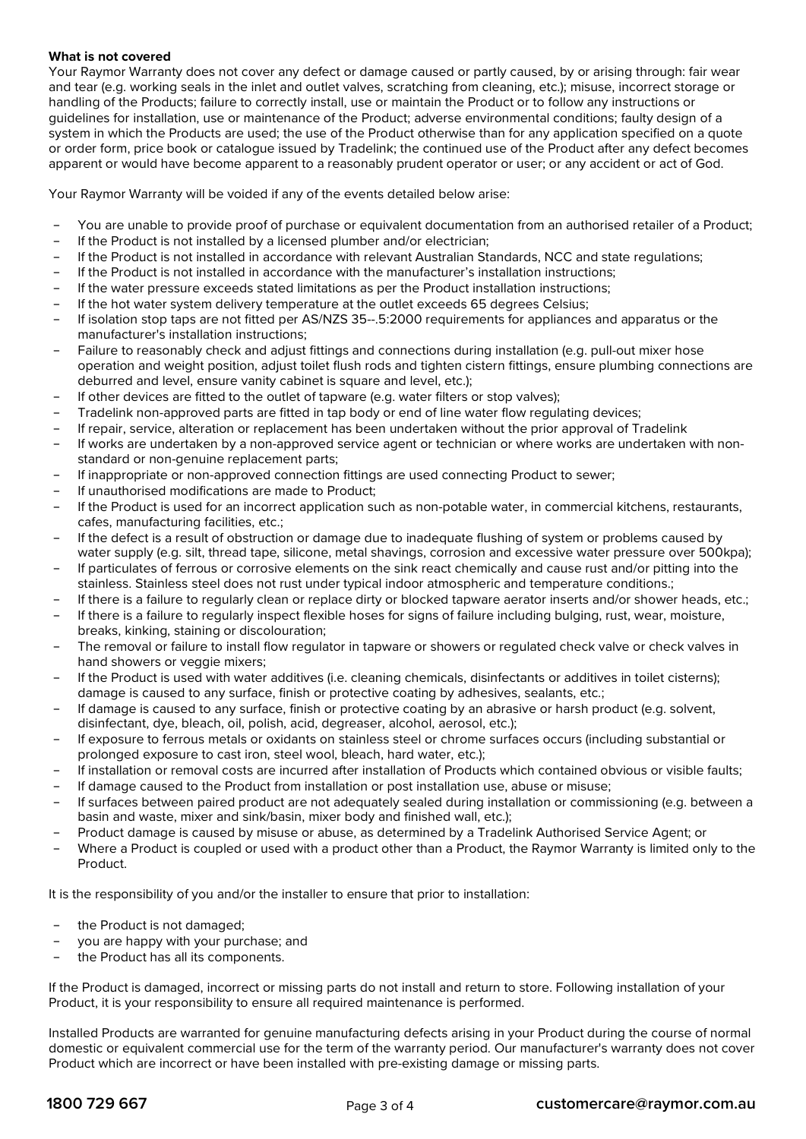#### **What is not covered**

Your Raymor Warranty does not cover any defect or damage caused or partly caused, by or arising through: fair wear and tear (e.g. working seals in the inlet and outlet valves, scratching from cleaning, etc.); misuse, incorrect storage or handling of the Products; failure to correctly install, use or maintain the Product or to follow any instructions or guidelines for installation, use or maintenance of the Product; adverse environmental conditions; faulty design of a system in which the Products are used; the use of the Product otherwise than for any application specified on a quote or order form, price book or catalogue issued by Tradelink; the continued use of the Product after any defect becomes apparent or would have become apparent to a reasonably prudent operator or user; or any accident or act of God.

Your Raymor Warranty will be voided if any of the events detailed below arise:

- − You are unable to provide proof of purchase or equivalent documentation from an authorised retailer of a Product;
- If the Product is not installed by a licensed plumber and/or electrician;
- − If the Product is not installed in accordance with relevant Australian Standards, NCC and state regulations;
- If the Product is not installed in accordance with the manufacturer's installation instructions;
- If the water pressure exceeds stated limitations as per the Product installation instructions;
- If the hot water system delivery temperature at the outlet exceeds 65 degrees Celsius;
- − If isolation stop taps are not fitted per AS/NZS 35--.5:2000 requirements for appliances and apparatus or the manufacturer's installation instructions;
- − Failure to reasonably check and adjust fittings and connections during installation (e.g. pull-out mixer hose operation and weight position, adjust toilet flush rods and tighten cistern fittings, ensure plumbing connections are deburred and level, ensure vanity cabinet is square and level, etc.);
- If other devices are fitted to the outlet of tapware (e.g. water filters or stop valves);
- − Tradelink non-approved parts are fitted in tap body or end of line water flow regulating devices;
- − If repair, service, alteration or replacement has been undertaken without the prior approval of Tradelink
- − If works are undertaken by a non-approved service agent or technician or where works are undertaken with nonstandard or non-genuine replacement parts;
- − If inappropriate or non-approved connection fittings are used connecting Product to sewer;
- If unauthorised modifications are made to Product;
- If the Product is used for an incorrect application such as non-potable water, in commercial kitchens, restaurants, cafes, manufacturing facilities, etc.;
- − If the defect is a result of obstruction or damage due to inadequate flushing of system or problems caused by water supply (e.g. silt, thread tape, silicone, metal shavings, corrosion and excessive water pressure over 500kpa);
- − If particulates of ferrous or corrosive elements on the sink react chemically and cause rust and/or pitting into the stainless. Stainless steel does not rust under typical indoor atmospheric and temperature conditions.;
- − If there is a failure to regularly clean or replace dirty or blocked tapware aerator inserts and/or shower heads, etc.;
- − If there is a failure to regularly inspect flexible hoses for signs of failure including bulging, rust, wear, moisture, breaks, kinking, staining or discolouration;
- The removal or failure to install flow regulator in tapware or showers or regulated check valve or check valves in hand showers or veggie mixers;
- − If the Product is used with water additives (i.e. cleaning chemicals, disinfectants or additives in toilet cisterns); damage is caused to any surface, finish or protective coating by adhesives, sealants, etc.;
- − If damage is caused to any surface, finish or protective coating by an abrasive or harsh product (e.g. solvent, disinfectant, dye, bleach, oil, polish, acid, degreaser, alcohol, aerosol, etc.);
- − If exposure to ferrous metals or oxidants on stainless steel or chrome surfaces occurs (including substantial or prolonged exposure to cast iron, steel wool, bleach, hard water, etc.);
- − If installation or removal costs are incurred after installation of Products which contained obvious or visible faults;
- − If damage caused to the Product from installation or post installation use, abuse or misuse;
- − If surfaces between paired product are not adequately sealed during installation or commissioning (e.g. between a basin and waste, mixer and sink/basin, mixer body and finished wall, etc.);
- − Product damage is caused by misuse or abuse, as determined by a Tradelink Authorised Service Agent; or
- − Where a Product is coupled or used with a product other than a Product, the Raymor Warranty is limited only to the Product.

It is the responsibility of you and/or the installer to ensure that prior to installation:

- the Product is not damaged;
- you are happy with your purchase; and
- the Product has all its components.

If the Product is damaged, incorrect or missing parts do not install and return to store. Following installation of your Product, it is your responsibility to ensure all required maintenance is performed.

Installed Products are warranted for genuine manufacturing defects arising in your Product during the course of normal domestic or equivalent commercial use for the term of the warranty period. Our manufacturer's warranty does not cover Product which are incorrect or have been installed with pre-existing damage or missing parts.